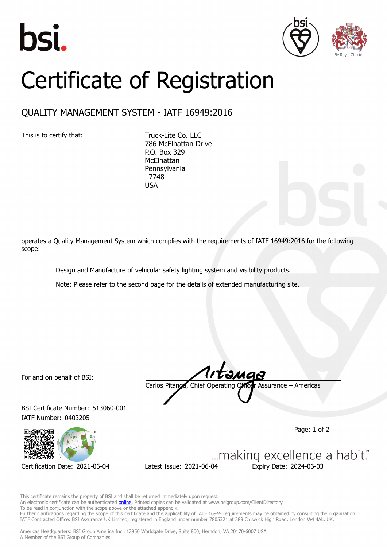





## Certificate of Registration

## QUALITY MANAGEMENT SYSTEM - IATF 16949:2016

This is to certify that: Truck-Lite Co. LLC

786 McElhattan Drive P.O. Box 329 **McElhattan** Pennsylvania 17748 USA

operates a Quality Management System which complies with the requirements of IATF 16949:2016 for the following scope:

Design and Manufacture of vehicular safety lighting system and visibility products.

Note: Please refer to the second page for the details of extended manufacturing site.

For and on behalf of BSI:

BSI Certificate Number: 513060-001 IATF Number: 0403205



Carlos Pitanga, Chief Operating Officer Assurance – Americas

Page: 1 of 2

Certification Date: 2021-06-04 Latest Issue: 2021-06-04 Expiry Date: 2024-06-03

... making excellence a habit."

This certificate remains the property of BSI and shall be returned immediately upon request. An electronic certificate can be authenticated **[online](https://pgplus.bsigroup.com/CertificateValidation/CertificateValidator.aspx?CertificateNumber=TS+513060-001&ReIssueDate=04%2f06%2f2021&Template=inc)**. Printed copies can be validated at www.bsigroup.com/ClientDirectory To be read in conjunction with the scope above or the attached appendix. Further clarifications regarding the scope of this certificate and the applicability of IATF 16949 requirements may be obtained by consulting the organization. IATF Contracted Office: BSI Assurance UK Limited, registered in England under number 7805321 at 389 Chiswick High Road, London W4 4AL, UK.

Americas Headquarters: BSI Group America Inc., 12950 Worldgate Drive, Suite 800, Herndon, VA 20170-6007 USA A Member of the BSI Group of Companies.